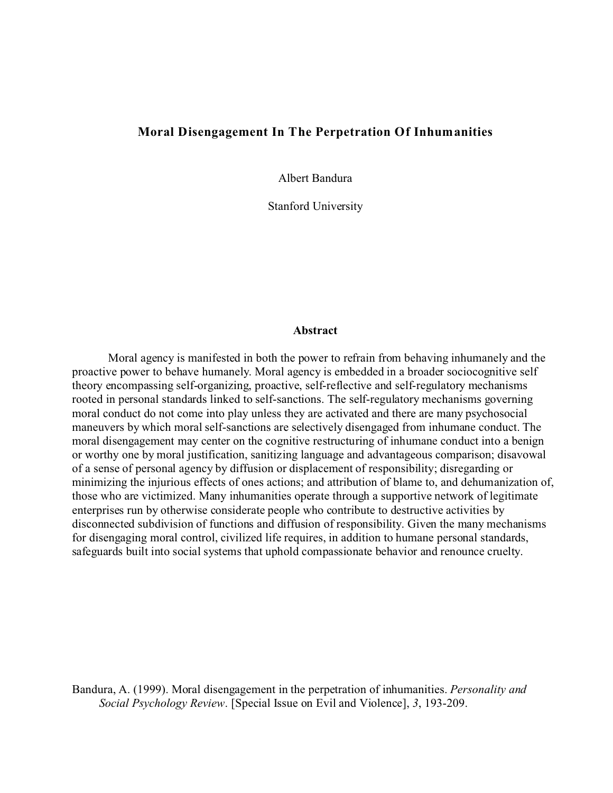# **Moral Disengagement In The Perpetration Of Inhumanities**

Albert Bandura

Stanford University

## **Abstract**

Moral agency is manifested in both the power to refrain from behaving inhumanely and the proactive power to behave humanely. Moral agency is embedded in a broader sociocognitive self theory encompassing self-organizing, proactive, self-reflective and self-regulatory mechanisms rooted in personal standards linked to self-sanctions. The self-regulatory mechanisms governing moral conduct do not come into play unless they are activated and there are many psychosocial maneuvers by which moral self-sanctions are selectively disengaged from inhumane conduct. The moral disengagement may center on the cognitive restructuring of inhumane conduct into a benign or worthy one by moral justification, sanitizing language and advantageous comparison; disavowal of a sense of personal agency by diffusion or displacement of responsibility; disregarding or minimizing the injurious effects of ones actions; and attribution of blame to, and dehumanization of, those who are victimized. Many inhumanities operate through a supportive network of legitimate enterprises run by otherwise considerate people who contribute to destructive activities by disconnected subdivision of functions and diffusion of responsibility. Given the many mechanisms for disengaging moral control, civilized life requires, in addition to humane personal standards, safeguards built into social systems that uphold compassionate behavior and renounce cruelty.

Bandura, A. (1999). Moral disengagement in the perpetration of inhumanities. *Personality and Social Psychology Review*. [Special Issue on Evil and Violence], *3*, 193-209.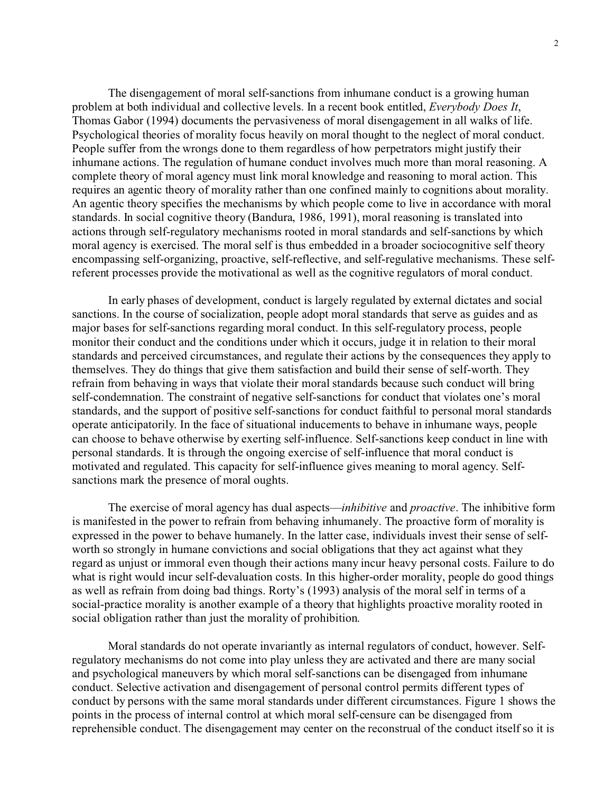The disengagement of moral self-sanctions from inhumane conduct is a growing human problem at both individual and collective levels. In a recent book entitled, *Everybody Does It*, Thomas Gabor (1994) documents the pervasiveness of moral disengagement in all walks of life. Psychological theories of morality focus heavily on moral thought to the neglect of moral conduct. People suffer from the wrongs done to them regardless of how perpetrators might justify their inhumane actions. The regulation of humane conduct involves much more than moral reasoning. A complete theory of moral agency must link moral knowledge and reasoning to moral action. This requires an agentic theory of morality rather than one confined mainly to cognitions about morality. An agentic theory specifies the mechanisms by which people come to live in accordance with moral standards. In social cognitive theory (Bandura, 1986, 1991), moral reasoning is translated into actions through self-regulatory mechanisms rooted in moral standards and self-sanctions by which moral agency is exercised. The moral self is thus embedded in a broader sociocognitive self theory encompassing self-organizing, proactive, self-reflective, and self-regulative mechanisms. These selfreferent processes provide the motivational as well as the cognitive regulators of moral conduct.

In early phases of development, conduct is largely regulated by external dictates and social sanctions. In the course of socialization, people adopt moral standards that serve as guides and as major bases for self-sanctions regarding moral conduct. In this self-regulatory process, people monitor their conduct and the conditions under which it occurs, judge it in relation to their moral standards and perceived circumstances, and regulate their actions by the consequences they apply to themselves. They do things that give them satisfaction and build their sense of self-worth. They refrain from behaving in ways that violate their moral standards because such conduct will bring self-condemnation. The constraint of negative self-sanctions for conduct that violates one's moral standards, and the support of positive self-sanctions for conduct faithful to personal moral standards operate anticipatorily. In the face of situational inducements to behave in inhumane ways, people can choose to behave otherwise by exerting self-influence. Self-sanctions keep conduct in line with personal standards. It is through the ongoing exercise of self-influence that moral conduct is motivated and regulated. This capacity for self-influence gives meaning to moral agency. Selfsanctions mark the presence of moral oughts.

The exercise of moral agency has dual aspects—*inhibitive* and *proactive*. The inhibitive form is manifested in the power to refrain from behaving inhumanely. The proactive form of morality is expressed in the power to behave humanely. In the latter case, individuals invest their sense of selfworth so strongly in humane convictions and social obligations that they act against what they regard as unjust or immoral even though their actions many incur heavy personal costs. Failure to do what is right would incur self-devaluation costs. In this higher-order morality, people do good things as well as refrain from doing bad things. Rorty's (1993) analysis of the moral self in terms of a social-practice morality is another example of a theory that highlights proactive morality rooted in social obligation rather than just the morality of prohibition.

Moral standards do not operate invariantly as internal regulators of conduct, however. Selfregulatory mechanisms do not come into play unless they are activated and there are many social and psychological maneuvers by which moral self-sanctions can be disengaged from inhumane conduct. Selective activation and disengagement of personal control permits different types of conduct by persons with the same moral standards under different circumstances. Figure 1 shows the points in the process of internal control at which moral self-censure can be disengaged from reprehensible conduct. The disengagement may center on the reconstrual of the conduct itself so it is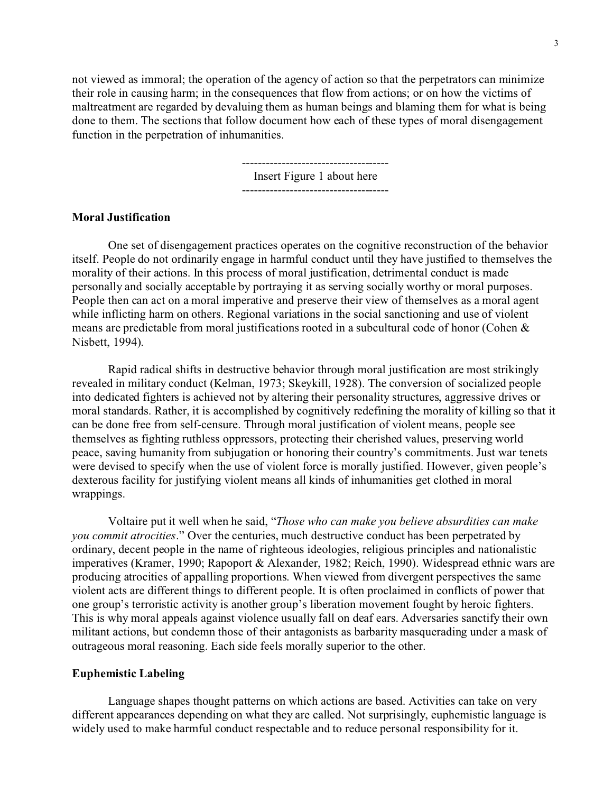not viewed as immoral; the operation of the agency of action so that the perpetrators can minimize their role in causing harm; in the consequences that flow from actions; or on how the victims of maltreatment are regarded by devaluing them as human beings and blaming them for what is being done to them. The sections that follow document how each of these types of moral disengagement function in the perpetration of inhumanities.

> ------------------------------------- Insert Figure 1 about here

-------------------------------------

## **Moral Justification**

One set of disengagement practices operates on the cognitive reconstruction of the behavior itself. People do not ordinarily engage in harmful conduct until they have justified to themselves the morality of their actions. In this process of moral justification, detrimental conduct is made personally and socially acceptable by portraying it as serving socially worthy or moral purposes. People then can act on a moral imperative and preserve their view of themselves as a moral agent while inflicting harm on others. Regional variations in the social sanctioning and use of violent means are predictable from moral justifications rooted in a subcultural code of honor (Cohen & Nisbett, 1994).

Rapid radical shifts in destructive behavior through moral justification are most strikingly revealed in military conduct (Kelman, 1973; Skeykill, 1928). The conversion of socialized people into dedicated fighters is achieved not by altering their personality structures, aggressive drives or moral standards. Rather, it is accomplished by cognitively redefining the morality of killing so that it can be done free from self-censure. Through moral justification of violent means, people see themselves as fighting ruthless oppressors, protecting their cherished values, preserving world peace, saving humanity from subjugation or honoring their country's commitments. Just war tenets were devised to specify when the use of violent force is morally justified. However, given people's dexterous facility for justifying violent means all kinds of inhumanities get clothed in moral wrappings.

Voltaire put it well when he said, "*Those who can make you believe absurdities can make you commit atrocities*." Over the centuries, much destructive conduct has been perpetrated by ordinary, decent people in the name of righteous ideologies, religious principles and nationalistic imperatives (Kramer, 1990; Rapoport & Alexander, 1982; Reich, 1990). Widespread ethnic wars are producing atrocities of appalling proportions. When viewed from divergent perspectives the same violent acts are different things to different people. It is often proclaimed in conflicts of power that one group's terroristic activity is another group's liberation movement fought by heroic fighters. This is why moral appeals against violence usually fall on deaf ears. Adversaries sanctify their own militant actions, but condemn those of their antagonists as barbarity masquerading under a mask of outrageous moral reasoning. Each side feels morally superior to the other.

### **Euphemistic Labeling**

Language shapes thought patterns on which actions are based. Activities can take on very different appearances depending on what they are called. Not surprisingly, euphemistic language is widely used to make harmful conduct respectable and to reduce personal responsibility for it.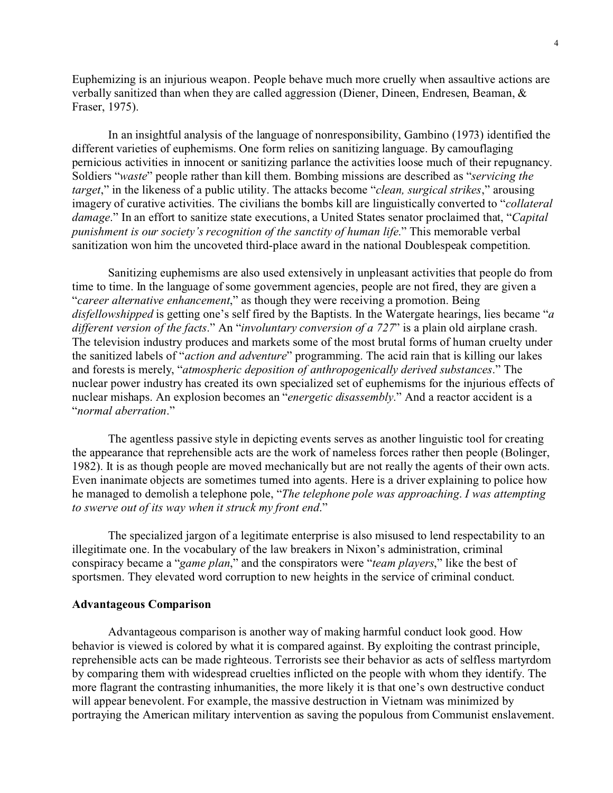Euphemizing is an injurious weapon. People behave much more cruelly when assaultive actions are verbally sanitized than when they are called aggression (Diener, Dineen, Endresen, Beaman, & Fraser, 1975).

In an insightful analysis of the language of nonresponsibility, Gambino (1973) identified the different varieties of euphemisms. One form relies on sanitizing language. By camouflaging pernicious activities in innocent or sanitizing parlance the activities loose much of their repugnancy. Soldiers "*waste*" people rather than kill them. Bombing missions are described as "*servicing the target*," in the likeness of a public utility. The attacks become "*clean, surgical strikes*," arousing imagery of curative activities. The civilians the bombs kill are linguistically converted to "*collateral damage*." In an effort to sanitize state executions, a United States senator proclaimed that, "*Capital punishment is our society's recognition of the sanctity of human life*." This memorable verbal sanitization won him the uncoveted third-place award in the national Doublespeak competition.

Sanitizing euphemisms are also used extensively in unpleasant activities that people do from time to time. In the language of some government agencies, people are not fired, they are given a "*career alternative enhancement*," as though they were receiving a promotion. Being *disfellowshipped* is getting one's self fired by the Baptists. In the Watergate hearings, lies became "*a different version of the facts*." An "*involuntary conversion of a 727*" is a plain old airplane crash. The television industry produces and markets some of the most brutal forms of human cruelty under the sanitized labels of "*action and adventure*" programming. The acid rain that is killing our lakes and forests is merely, "*atmospheric deposition of anthropogenically derived substances*." The nuclear power industry has created its own specialized set of euphemisms for the injurious effects of nuclear mishaps. An explosion becomes an "*energetic disassembly*." And a reactor accident is a "*normal aberration*."

The agentless passive style in depicting events serves as another linguistic tool for creating the appearance that reprehensible acts are the work of nameless forces rather then people (Bolinger, 1982). It is as though people are moved mechanically but are not really the agents of their own acts. Even inanimate objects are sometimes turned into agents. Here is a driver explaining to police how he managed to demolish a telephone pole, "*The telephone pole was approaching*. *I was attempting to swerve out of its way when it struck my front end*."

The specialized jargon of a legitimate enterprise is also misused to lend respectability to an illegitimate one. In the vocabulary of the law breakers in Nixon's administration, criminal conspiracy became a "*game plan*," and the conspirators were "*team players*," like the best of sportsmen. They elevated word corruption to new heights in the service of criminal conduct.

#### **Advantageous Comparison**

Advantageous comparison is another way of making harmful conduct look good. How behavior is viewed is colored by what it is compared against. By exploiting the contrast principle, reprehensible acts can be made righteous. Terrorists see their behavior as acts of selfless martyrdom by comparing them with widespread cruelties inflicted on the people with whom they identify. The more flagrant the contrasting inhumanities, the more likely it is that one's own destructive conduct will appear benevolent. For example, the massive destruction in Vietnam was minimized by portraying the American military intervention as saving the populous from Communist enslavement.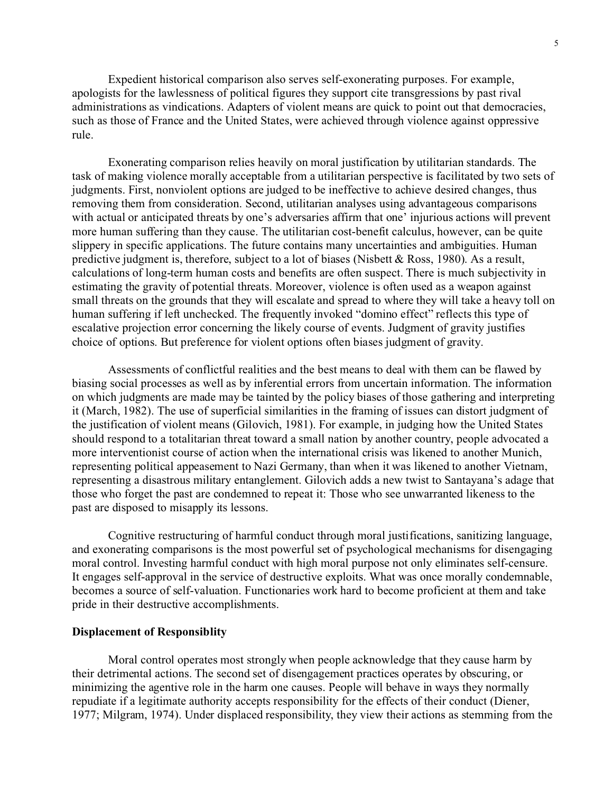Expedient historical comparison also serves self-exonerating purposes. For example, apologists for the lawlessness of political figures they support cite transgressions by past rival administrations as vindications. Adapters of violent means are quick to point out that democracies, such as those of France and the United States, were achieved through violence against oppressive rule.

Exonerating comparison relies heavily on moral justification by utilitarian standards. The task of making violence morally acceptable from a utilitarian perspective is facilitated by two sets of judgments. First, nonviolent options are judged to be ineffective to achieve desired changes, thus removing them from consideration. Second, utilitarian analyses using advantageous comparisons with actual or anticipated threats by one's adversaries affirm that one' injurious actions will prevent more human suffering than they cause. The utilitarian cost-benefit calculus, however, can be quite slippery in specific applications. The future contains many uncertainties and ambiguities. Human predictive judgment is, therefore, subject to a lot of biases (Nisbett & Ross, 1980). As a result, calculations of long-term human costs and benefits are often suspect. There is much subjectivity in estimating the gravity of potential threats. Moreover, violence is often used as a weapon against small threats on the grounds that they will escalate and spread to where they will take a heavy toll on human suffering if left unchecked. The frequently invoked "domino effect" reflects this type of escalative projection error concerning the likely course of events. Judgment of gravity justifies choice of options. But preference for violent options often biases judgment of gravity.

Assessments of conflictful realities and the best means to deal with them can be flawed by biasing social processes as well as by inferential errors from uncertain information. The information on which judgments are made may be tainted by the policy biases of those gathering and interpreting it (March, 1982). The use of superficial similarities in the framing of issues can distort judgment of the justification of violent means (Gilovich, 1981). For example, in judging how the United States should respond to a totalitarian threat toward a small nation by another country, people advocated a more interventionist course of action when the international crisis was likened to another Munich, representing political appeasement to Nazi Germany, than when it was likened to another Vietnam, representing a disastrous military entanglement. Gilovich adds a new twist to Santayana's adage that those who forget the past are condemned to repeat it: Those who see unwarranted likeness to the past are disposed to misapply its lessons.

Cognitive restructuring of harmful conduct through moral justifications, sanitizing language, and exonerating comparisons is the most powerful set of psychological mechanisms for disengaging moral control. Investing harmful conduct with high moral purpose not only eliminates self-censure. It engages self-approval in the service of destructive exploits. What was once morally condemnable, becomes a source of self-valuation. Functionaries work hard to become proficient at them and take pride in their destructive accomplishments.

### **Displacement of Responsiblity**

Moral control operates most strongly when people acknowledge that they cause harm by their detrimental actions. The second set of disengagement practices operates by obscuring, or minimizing the agentive role in the harm one causes. People will behave in ways they normally repudiate if a legitimate authority accepts responsibility for the effects of their conduct (Diener, 1977; Milgram, 1974). Under displaced responsibility, they view their actions as stemming from the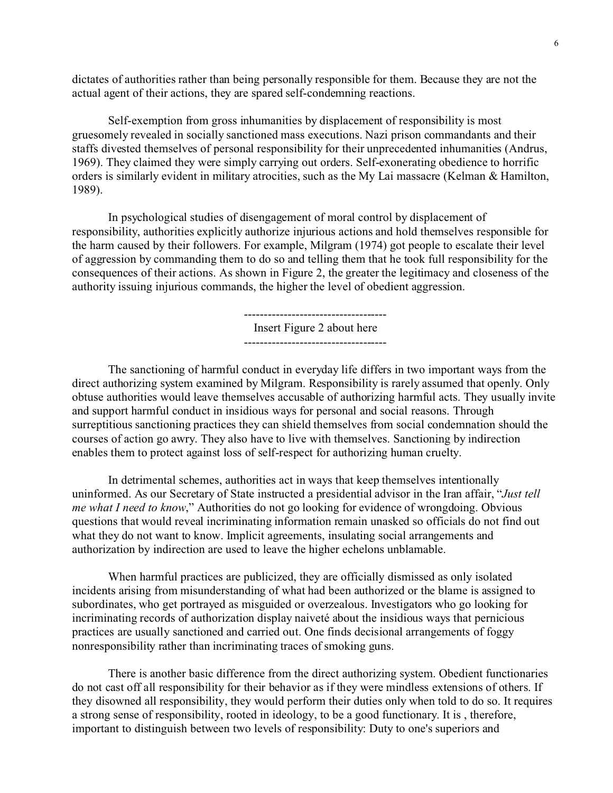dictates of authorities rather than being personally responsible for them. Because they are not the actual agent of their actions, they are spared self-condemning reactions.

Self-exemption from gross inhumanities by displacement of responsibility is most gruesomely revealed in socially sanctioned mass executions. Nazi prison commandants and their staffs divested themselves of personal responsibility for their unprecedented inhumanities (Andrus, 1969). They claimed they were simply carrying out orders. Self-exonerating obedience to horrific orders is similarly evident in military atrocities, such as the My Lai massacre (Kelman & Hamilton, 1989).

In psychological studies of disengagement of moral control by displacement of responsibility, authorities explicitly authorize injurious actions and hold themselves responsible for the harm caused by their followers. For example, Milgram (1974) got people to escalate their level of aggression by commanding them to do so and telling them that he took full responsibility for the consequences of their actions. As shown in Figure 2, the greater the legitimacy and closeness of the authority issuing injurious commands, the higher the level of obedient aggression.

> ------------------------------------ Insert Figure 2 about here ------------------------------------

The sanctioning of harmful conduct in everyday life differs in two important ways from the direct authorizing system examined by Milgram. Responsibility is rarely assumed that openly. Only obtuse authorities would leave themselves accusable of authorizing harmful acts. They usually invite and support harmful conduct in insidious ways for personal and social reasons. Through surreptitious sanctioning practices they can shield themselves from social condemnation should the courses of action go awry. They also have to live with themselves. Sanctioning by indirection enables them to protect against loss of self-respect for authorizing human cruelty.

In detrimental schemes, authorities act in ways that keep themselves intentionally uninformed. As our Secretary of State instructed a presidential advisor in the Iran affair, "*Just tell me what I need to know*," Authorities do not go looking for evidence of wrongdoing. Obvious questions that would reveal incriminating information remain unasked so officials do not find out what they do not want to know. Implicit agreements, insulating social arrangements and authorization by indirection are used to leave the higher echelons unblamable.

When harmful practices are publicized, they are officially dismissed as only isolated incidents arising from misunderstanding of what had been authorized or the blame is assigned to subordinates, who get portrayed as misguided or overzealous. Investigators who go looking for incriminating records of authorization display naiveté about the insidious ways that pernicious practices are usually sanctioned and carried out. One finds decisional arrangements of foggy nonresponsibility rather than incriminating traces of smoking guns.

There is another basic difference from the direct authorizing system. Obedient functionaries do not cast off all responsibility for their behavior as if they were mindless extensions of others. If they disowned all responsibility, they would perform their duties only when told to do so. It requires a strong sense of responsibility, rooted in ideology, to be a good functionary. It is , therefore, important to distinguish between two levels of responsibility: Duty to one's superiors and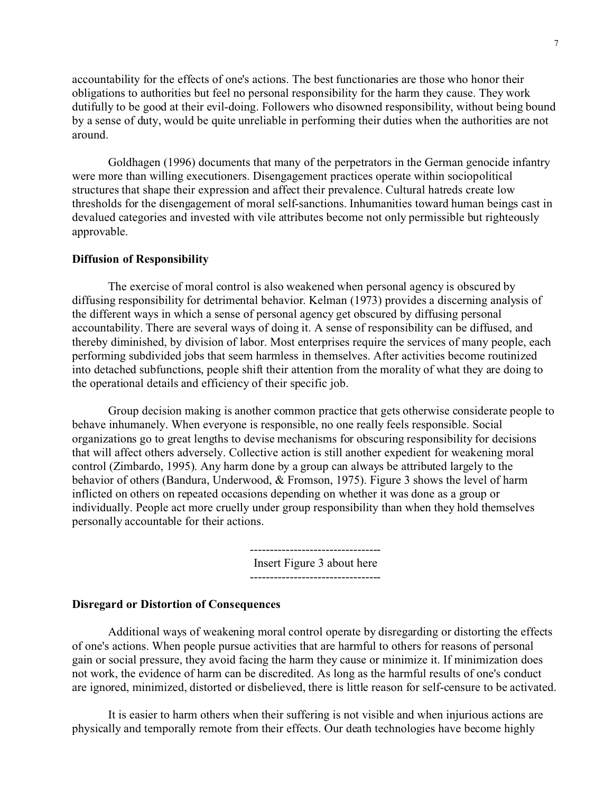accountability for the effects of one's actions. The best functionaries are those who honor their obligations to authorities but feel no personal responsibility for the harm they cause. They work dutifully to be good at their evil-doing. Followers who disowned responsibility, without being bound by a sense of duty, would be quite unreliable in performing their duties when the authorities are not around.

Goldhagen (1996) documents that many of the perpetrators in the German genocide infantry were more than willing executioners. Disengagement practices operate within sociopolitical structures that shape their expression and affect their prevalence. Cultural hatreds create low thresholds for the disengagement of moral self-sanctions. Inhumanities toward human beings cast in devalued categories and invested with vile attributes become not only permissible but righteously approvable.

## **Diffusion of Responsibility**

The exercise of moral control is also weakened when personal agency is obscured by diffusing responsibility for detrimental behavior. Kelman (1973) provides a discerning analysis of the different ways in which a sense of personal agency get obscured by diffusing personal accountability. There are several ways of doing it. A sense of responsibility can be diffused, and thereby diminished, by division of labor. Most enterprises require the services of many people, each performing subdivided jobs that seem harmless in themselves. After activities become routinized into detached subfunctions, people shift their attention from the morality of what they are doing to the operational details and efficiency of their specific job.

Group decision making is another common practice that gets otherwise considerate people to behave inhumanely. When everyone is responsible, no one really feels responsible. Social organizations go to great lengths to devise mechanisms for obscuring responsibility for decisions that will affect others adversely. Collective action is still another expedient for weakening moral control (Zimbardo, 1995). Any harm done by a group can always be attributed largely to the behavior of others (Bandura, Underwood, & Fromson, 1975). Figure 3 shows the level of harm inflicted on others on repeated occasions depending on whether it was done as a group or individually. People act more cruelly under group responsibility than when they hold themselves personally accountable for their actions.

> $-$ Insert Figure 3 about here ---------------------------------

### **Disregard or Distortion of Consequences**

Additional ways of weakening moral control operate by disregarding or distorting the effects of one's actions. When people pursue activities that are harmful to others for reasons of personal gain or social pressure, they avoid facing the harm they cause or minimize it. If minimization does not work, the evidence of harm can be discredited. As long as the harmful results of one's conduct are ignored, minimized, distorted or disbelieved, there is little reason for self-censure to be activated.

It is easier to harm others when their suffering is not visible and when injurious actions are physically and temporally remote from their effects. Our death technologies have become highly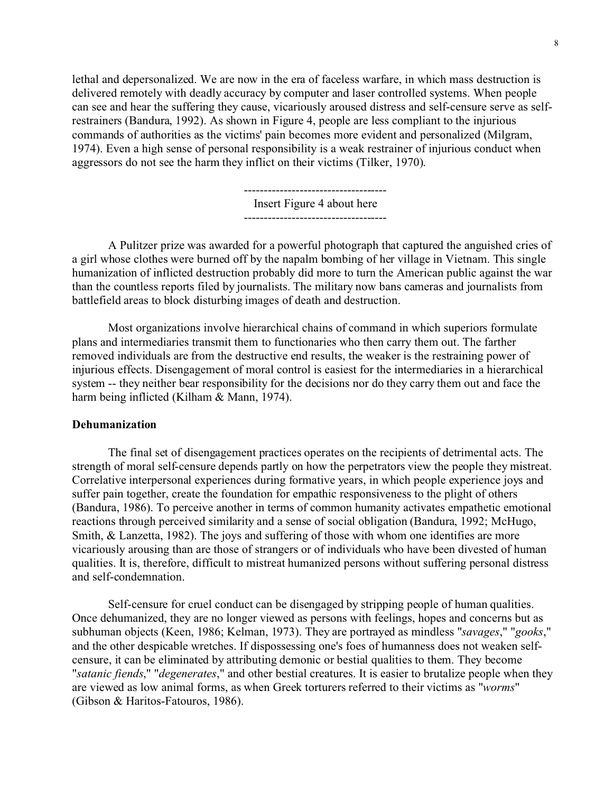lethal and depersonalized. We are now in the era of faceless warfare, in which mass destruction is delivered remotely with deadly accuracy by computer and laser controlled systems. When people can see and hear the suffering they cause, vicariously aroused distress and self-censure serve as selfrestrainers (Bandura, 1992). As shown in Figure 4, people are less compliant to the injurious commands of authorities as the victims' pain becomes more evident and personalized (Milgram, 1974). Even a high sense of personal responsibility is a weak restrainer of injurious conduct when aggressors do not see the harm they inflict on their victims (Tilker, 1970).

> ------------------------------------ Insert Figure 4 about here ------------------------------------

A Pulitzer prize was awarded for a powerful photograph that captured the anguished cries of a girl whose clothes were burned off by the napalm bombing of her village in Vietnam. This single humanization of inflicted destruction probably did more to turn the American public against the war than the countless reports filed by journalists. The military now bans cameras and journalists from battlefield areas to block disturbing images of death and destruction.

Most organizations involve hierarchical chains of command in which superiors formulate plans and intermediaries transmit them to functionaries who then carry them out. The farther removed individuals are from the destructive end results, the weaker is the restraining power of injurious effects. Disengagement of moral control is easiest for the intermediaries in a hierarchical system -- they neither bear responsibility for the decisions nor do they carry them out and face the harm being inflicted (Kilham & Mann, 1974).

### **Dehumanization**

The final set of disengagement practices operates on the recipients of detrimental acts. The strength of moral self-censure depends partly on how the perpetrators view the people they mistreat. Correlative interpersonal experiences during formative years, in which people experience joys and suffer pain together, create the foundation for empathic responsiveness to the plight of others (Bandura, 1986). To perceive another in terms of common humanity activates empathetic emotional reactions through perceived similarity and a sense of social obligation (Bandura, 1992; McHugo, Smith, & Lanzetta, 1982). The joys and suffering of those with whom one identifies are more vicariously arousing than are those of strangers or of individuals who have been divested of human qualities. It is, therefore, difficult to mistreat humanized persons without suffering personal distress and self-condemnation.

Self-censure for cruel conduct can be disengaged by stripping people of human qualities. Once dehumanized, they are no longer viewed as persons with feelings, hopes and concerns but as subhuman objects (Keen, 1986; Kelman, 1973). They are portrayed as mindless "*savages*," "*gooks*," and the other despicable wretches. If dispossessing one's foes of humanness does not weaken selfcensure, it can be eliminated by attributing demonic or bestial qualities to them. They become "*satanic fiends*," "*degenerates*," and other bestial creatures. It is easier to brutalize people when they are viewed as low animal forms, as when Greek torturers referred to their victims as "*worms*" (Gibson & Haritos-Fatouros, 1986).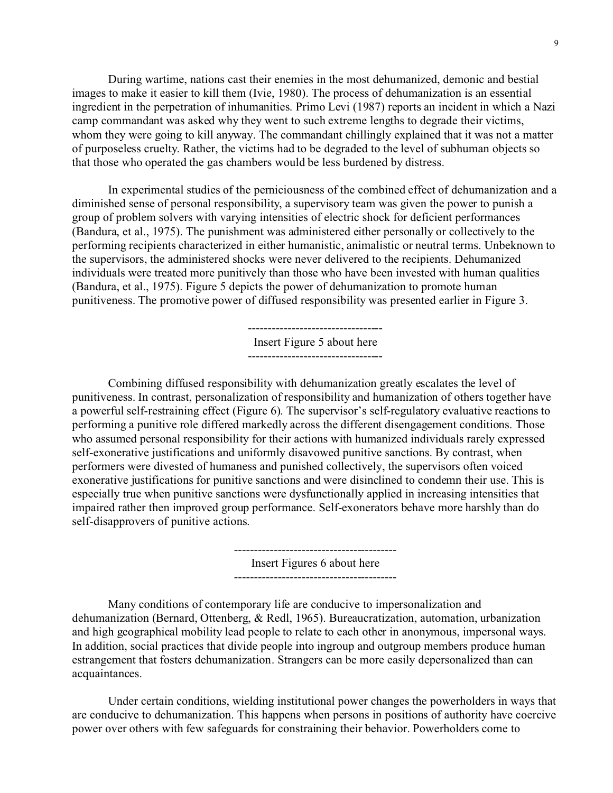During wartime, nations cast their enemies in the most dehumanized, demonic and bestial images to make it easier to kill them (Ivie, 1980). The process of dehumanization is an essential ingredient in the perpetration of inhumanities. Primo Levi (1987) reports an incident in which a Nazi camp commandant was asked why they went to such extreme lengths to degrade their victims, whom they were going to kill anyway. The commandant chillingly explained that it was not a matter of purposeless cruelty. Rather, the victims had to be degraded to the level of subhuman objects so that those who operated the gas chambers would be less burdened by distress.

In experimental studies of the perniciousness of the combined effect of dehumanization and a diminished sense of personal responsibility, a supervisory team was given the power to punish a group of problem solvers with varying intensities of electric shock for deficient performances (Bandura, et al., 1975). The punishment was administered either personally or collectively to the performing recipients characterized in either humanistic, animalistic or neutral terms. Unbeknown to the supervisors, the administered shocks were never delivered to the recipients. Dehumanized individuals were treated more punitively than those who have been invested with human qualities (Bandura, et al., 1975). Figure 5 depicts the power of dehumanization to promote human punitiveness. The promotive power of diffused responsibility was presented earlier in Figure 3.

> ---------------------------------- Insert Figure 5 about here ----------------------------------

Combining diffused responsibility with dehumanization greatly escalates the level of punitiveness. In contrast, personalization of responsibility and humanization of others together have a powerful self-restraining effect (Figure 6). The supervisor's self-regulatory evaluative reactions to performing a punitive role differed markedly across the different disengagement conditions. Those who assumed personal responsibility for their actions with humanized individuals rarely expressed self-exonerative justifications and uniformly disavowed punitive sanctions. By contrast, when performers were divested of humaness and punished collectively, the supervisors often voiced exonerative justifications for punitive sanctions and were disinclined to condemn their use. This is especially true when punitive sanctions were dysfunctionally applied in increasing intensities that impaired rather then improved group performance. Self-exonerators behave more harshly than do self-disapprovers of punitive actions.

> ----------------------------------------- Insert Figures 6 about here

> -----------------------------------------

Many conditions of contemporary life are conducive to impersonalization and dehumanization (Bernard, Ottenberg, & Redl, 1965). Bureaucratization, automation, urbanization and high geographical mobility lead people to relate to each other in anonymous, impersonal ways. In addition, social practices that divide people into ingroup and outgroup members produce human estrangement that fosters dehumanization. Strangers can be more easily depersonalized than can acquaintances.

Under certain conditions, wielding institutional power changes the powerholders in ways that are conducive to dehumanization. This happens when persons in positions of authority have coercive power over others with few safeguards for constraining their behavior. Powerholders come to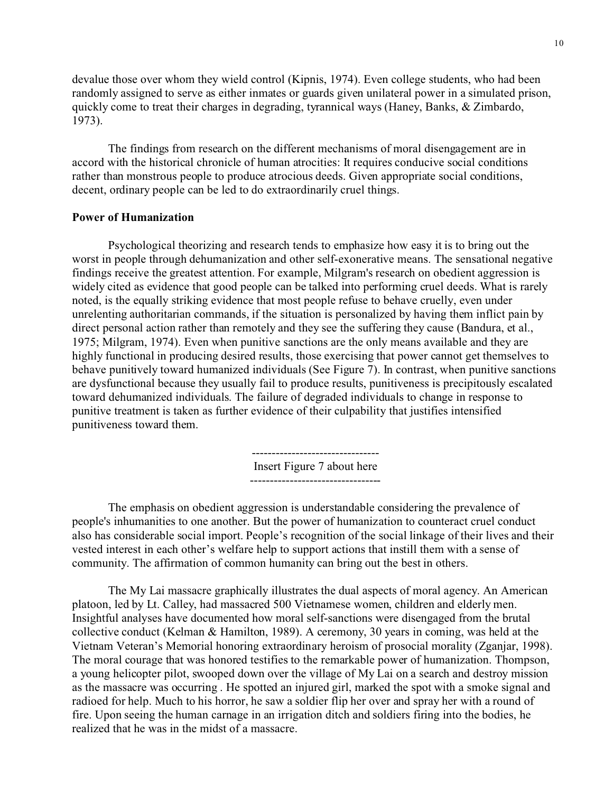devalue those over whom they wield control (Kipnis, 1974). Even college students, who had been randomly assigned to serve as either inmates or guards given unilateral power in a simulated prison, quickly come to treat their charges in degrading, tyrannical ways (Haney, Banks, & Zimbardo, 1973).

The findings from research on the different mechanisms of moral disengagement are in accord with the historical chronicle of human atrocities: It requires conducive social conditions rather than monstrous people to produce atrocious deeds. Given appropriate social conditions, decent, ordinary people can be led to do extraordinarily cruel things.

### **Power of Humanization**

Psychological theorizing and research tends to emphasize how easy it is to bring out the worst in people through dehumanization and other self-exonerative means. The sensational negative findings receive the greatest attention. For example, Milgram's research on obedient aggression is widely cited as evidence that good people can be talked into performing cruel deeds. What is rarely noted, is the equally striking evidence that most people refuse to behave cruelly, even under unrelenting authoritarian commands, if the situation is personalized by having them inflict pain by direct personal action rather than remotely and they see the suffering they cause (Bandura, et al., 1975; Milgram, 1974). Even when punitive sanctions are the only means available and they are highly functional in producing desired results, those exercising that power cannot get themselves to behave punitively toward humanized individuals (See Figure 7). In contrast, when punitive sanctions are dysfunctional because they usually fail to produce results, punitiveness is precipitously escalated toward dehumanized individuals. The failure of degraded individuals to change in response to punitive treatment is taken as further evidence of their culpability that justifies intensified punitiveness toward them.

> -------------------------------- Insert Figure 7 about here

---------------------------------

The emphasis on obedient aggression is understandable considering the prevalence of people's inhumanities to one another. But the power of humanization to counteract cruel conduct also has considerable social import. People's recognition of the social linkage of their lives and their vested interest in each other's welfare help to support actions that instill them with a sense of community. The affirmation of common humanity can bring out the best in others.

The My Lai massacre graphically illustrates the dual aspects of moral agency. An American platoon, led by Lt. Calley, had massacred 500 Vietnamese women, children and elderly men. Insightful analyses have documented how moral self-sanctions were disengaged from the brutal collective conduct (Kelman & Hamilton, 1989). A ceremony, 30 years in coming, was held at the Vietnam Veteran's Memorial honoring extraordinary heroism of prosocial morality (Zganjar, 1998). The moral courage that was honored testifies to the remarkable power of humanization. Thompson, a young helicopter pilot, swooped down over the village of My Lai on a search and destroy mission as the massacre was occurring . He spotted an injured girl, marked the spot with a smoke signal and radioed for help. Much to his horror, he saw a soldier flip her over and spray her with a round of fire. Upon seeing the human carnage in an irrigation ditch and soldiers firing into the bodies, he realized that he was in the midst of a massacre.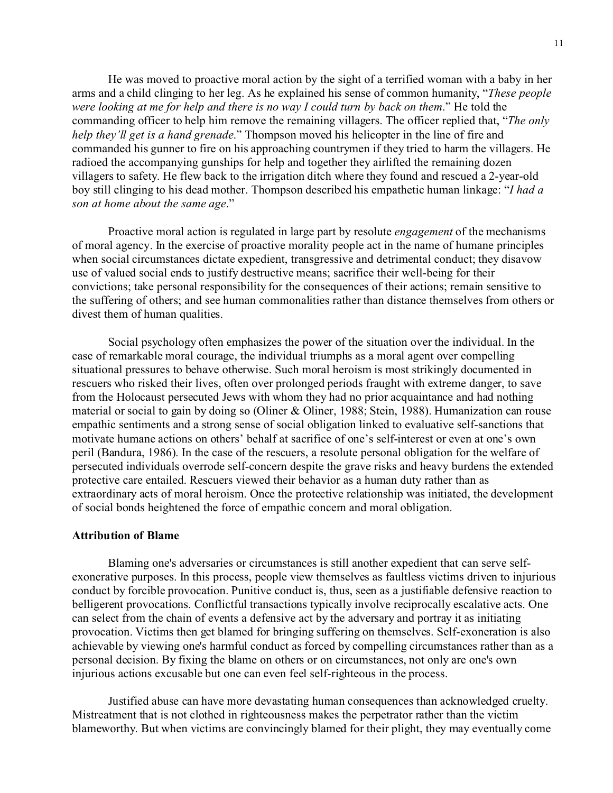He was moved to proactive moral action by the sight of a terrified woman with a baby in her arms and a child clinging to her leg. As he explained his sense of common humanity, "*These people were looking at me for help and there is no way I could turn by back on them*." He told the commanding officer to help him remove the remaining villagers. The officer replied that, "*The only help they'll get is a hand grenade*." Thompson moved his helicopter in the line of fire and commanded his gunner to fire on his approaching countrymen if they tried to harm the villagers. He radioed the accompanying gunships for help and together they airlifted the remaining dozen villagers to safety. He flew back to the irrigation ditch where they found and rescued a 2-year-old boy still clinging to his dead mother. Thompson described his empathetic human linkage: "*I had a son at home about the same age*."

Proactive moral action is regulated in large part by resolute *engagement* of the mechanisms of moral agency. In the exercise of proactive morality people act in the name of humane principles when social circumstances dictate expedient, transgressive and detrimental conduct; they disavow use of valued social ends to justify destructive means; sacrifice their well-being for their convictions; take personal responsibility for the consequences of their actions; remain sensitive to the suffering of others; and see human commonalities rather than distance themselves from others or divest them of human qualities.

Social psychology often emphasizes the power of the situation over the individual. In the case of remarkable moral courage, the individual triumphs as a moral agent over compelling situational pressures to behave otherwise. Such moral heroism is most strikingly documented in rescuers who risked their lives, often over prolonged periods fraught with extreme danger, to save from the Holocaust persecuted Jews with whom they had no prior acquaintance and had nothing material or social to gain by doing so (Oliner & Oliner, 1988; Stein, 1988). Humanization can rouse empathic sentiments and a strong sense of social obligation linked to evaluative self-sanctions that motivate humane actions on others' behalf at sacrifice of one's self-interest or even at one's own peril (Bandura, 1986). In the case of the rescuers, a resolute personal obligation for the welfare of persecuted individuals overrode self-concern despite the grave risks and heavy burdens the extended protective care entailed. Rescuers viewed their behavior as a human duty rather than as extraordinary acts of moral heroism. Once the protective relationship was initiated, the development of social bonds heightened the force of empathic concern and moral obligation.

### **Attribution of Blame**

Blaming one's adversaries or circumstances is still another expedient that can serve selfexonerative purposes. In this process, people view themselves as faultless victims driven to injurious conduct by forcible provocation. Punitive conduct is, thus, seen as a justifiable defensive reaction to belligerent provocations. Conflictful transactions typically involve reciprocally escalative acts. One can select from the chain of events a defensive act by the adversary and portray it as initiating provocation. Victims then get blamed for bringing suffering on themselves. Self-exoneration is also achievable by viewing one's harmful conduct as forced by compelling circumstances rather than as a personal decision. By fixing the blame on others or on circumstances, not only are one's own injurious actions excusable but one can even feel self-righteous in the process.

Justified abuse can have more devastating human consequences than acknowledged cruelty. Mistreatment that is not clothed in righteousness makes the perpetrator rather than the victim blameworthy. But when victims are convincingly blamed for their plight, they may eventually come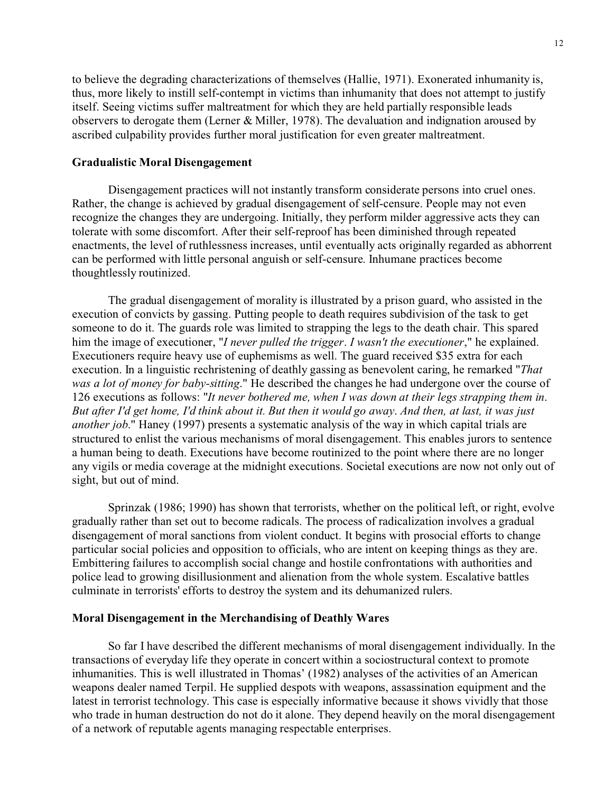to believe the degrading characterizations of themselves (Hallie, 1971). Exonerated inhumanity is, thus, more likely to instill self-contempt in victims than inhumanity that does not attempt to justify itself. Seeing victims suffer maltreatment for which they are held partially responsible leads observers to derogate them (Lerner & Miller, 1978). The devaluation and indignation aroused by ascribed culpability provides further moral justification for even greater maltreatment.

## **Gradualistic Moral Disengagement**

Disengagement practices will not instantly transform considerate persons into cruel ones. Rather, the change is achieved by gradual disengagement of self-censure. People may not even recognize the changes they are undergoing. Initially, they perform milder aggressive acts they can tolerate with some discomfort. After their self-reproof has been diminished through repeated enactments, the level of ruthlessness increases, until eventually acts originally regarded as abhorrent can be performed with little personal anguish or self-censure. Inhumane practices become thoughtlessly routinized.

The gradual disengagement of morality is illustrated by a prison guard, who assisted in the execution of convicts by gassing. Putting people to death requires subdivision of the task to get someone to do it. The guards role was limited to strapping the legs to the death chair. This spared him the image of executioner, "*I never pulled the trigger*. *I wasn't the executioner*," he explained. Executioners require heavy use of euphemisms as well. The guard received \$35 extra for each execution. In a linguistic rechristening of deathly gassing as benevolent caring, he remarked "*That was a lot of money for baby-sitting*." He described the changes he had undergone over the course of 126 executions as follows: "*It never bothered me, when I was down at their legs strapping them in*. *But after I'd get home, I'd think about it. But then it would go away*. *And then, at last, it was just another job*." Haney (1997) presents a systematic analysis of the way in which capital trials are structured to enlist the various mechanisms of moral disengagement. This enables jurors to sentence a human being to death. Executions have become routinized to the point where there are no longer any vigils or media coverage at the midnight executions. Societal executions are now not only out of sight, but out of mind.

Sprinzak (1986; 1990) has shown that terrorists, whether on the political left, or right, evolve gradually rather than set out to become radicals. The process of radicalization involves a gradual disengagement of moral sanctions from violent conduct. It begins with prosocial efforts to change particular social policies and opposition to officials, who are intent on keeping things as they are. Embittering failures to accomplish social change and hostile confrontations with authorities and police lead to growing disillusionment and alienation from the whole system. Escalative battles culminate in terrorists' efforts to destroy the system and its dehumanized rulers.

## **Moral Disengagement in the Merchandising of Deathly Wares**

So far I have described the different mechanisms of moral disengagement individually. In the transactions of everyday life they operate in concert within a sociostructural context to promote inhumanities. This is well illustrated in Thomas' (1982) analyses of the activities of an American weapons dealer named Terpil. He supplied despots with weapons, assassination equipment and the latest in terrorist technology. This case is especially informative because it shows vividly that those who trade in human destruction do not do it alone. They depend heavily on the moral disengagement of a network of reputable agents managing respectable enterprises.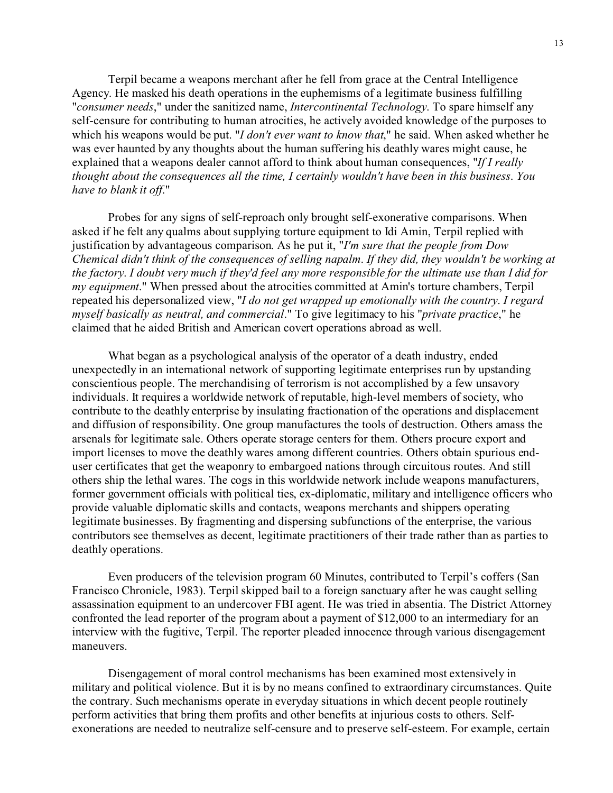Terpil became a weapons merchant after he fell from grace at the Central Intelligence Agency. He masked his death operations in the euphemisms of a legitimate business fulfilling "*consumer needs*," under the sanitized name, *Intercontinental Technology*. To spare himself any self-censure for contributing to human atrocities, he actively avoided knowledge of the purposes to which his weapons would be put. "*I don't ever want to know that*," he said. When asked whether he was ever haunted by any thoughts about the human suffering his deathly wares might cause, he explained that a weapons dealer cannot afford to think about human consequences, "*If I really thought about the consequences all the time, I certainly wouldn't have been in this business*. *You have to blank it off*."

Probes for any signs of self-reproach only brought self-exonerative comparisons. When asked if he felt any qualms about supplying torture equipment to Idi Amin, Terpil replied with justification by advantageous comparison. As he put it, "*I'm sure that the people from Dow Chemical didn't think of the consequences of selling napalm*. *If they did, they wouldn't be working at the factory*. *I doubt very much if they'd feel any more responsible for the ultimate use than I did for my equipment*." When pressed about the atrocities committed at Amin's torture chambers, Terpil repeated his depersonalized view, "*I do not get wrapped up emotionally with the country*. *I regard myself basically as neutral, and commercial*." To give legitimacy to his "*private practice*," he claimed that he aided British and American covert operations abroad as well.

What began as a psychological analysis of the operator of a death industry, ended unexpectedly in an international network of supporting legitimate enterprises run by upstanding conscientious people. The merchandising of terrorism is not accomplished by a few unsavory individuals. It requires a worldwide network of reputable, high-level members of society, who contribute to the deathly enterprise by insulating fractionation of the operations and displacement and diffusion of responsibility. One group manufactures the tools of destruction. Others amass the arsenals for legitimate sale. Others operate storage centers for them. Others procure export and import licenses to move the deathly wares among different countries. Others obtain spurious enduser certificates that get the weaponry to embargoed nations through circuitous routes. And still others ship the lethal wares. The cogs in this worldwide network include weapons manufacturers, former government officials with political ties, ex-diplomatic, military and intelligence officers who provide valuable diplomatic skills and contacts, weapons merchants and shippers operating legitimate businesses. By fragmenting and dispersing subfunctions of the enterprise, the various contributors see themselves as decent, legitimate practitioners of their trade rather than as parties to deathly operations.

Even producers of the television program 60 Minutes, contributed to Terpil's coffers (San Francisco Chronicle, 1983). Terpil skipped bail to a foreign sanctuary after he was caught selling assassination equipment to an undercover FBI agent. He was tried in absentia. The District Attorney confronted the lead reporter of the program about a payment of \$12,000 to an intermediary for an interview with the fugitive, Terpil. The reporter pleaded innocence through various disengagement maneuvers.

Disengagement of moral control mechanisms has been examined most extensively in military and political violence. But it is by no means confined to extraordinary circumstances. Quite the contrary. Such mechanisms operate in everyday situations in which decent people routinely perform activities that bring them profits and other benefits at injurious costs to others. Selfexonerations are needed to neutralize self-censure and to preserve self-esteem. For example, certain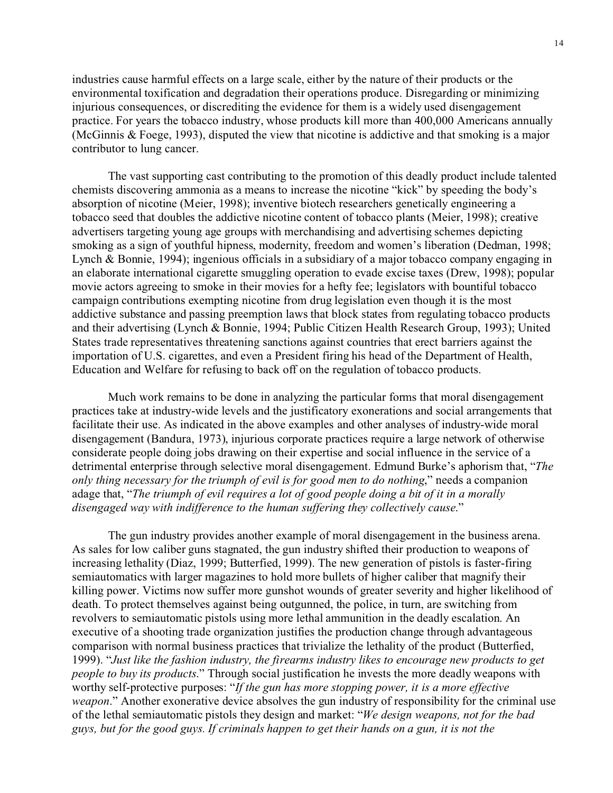industries cause harmful effects on a large scale, either by the nature of their products or the environmental toxification and degradation their operations produce. Disregarding or minimizing injurious consequences, or discrediting the evidence for them is a widely used disengagement practice. For years the tobacco industry, whose products kill more than 400,000 Americans annually (McGinnis & Foege, 1993), disputed the view that nicotine is addictive and that smoking is a major contributor to lung cancer.

The vast supporting cast contributing to the promotion of this deadly product include talented chemists discovering ammonia as a means to increase the nicotine "kick" by speeding the body's absorption of nicotine (Meier, 1998); inventive biotech researchers genetically engineering a tobacco seed that doubles the addictive nicotine content of tobacco plants (Meier, 1998); creative advertisers targeting young age groups with merchandising and advertising schemes depicting smoking as a sign of youthful hipness, modernity, freedom and women's liberation (Dedman, 1998; Lynch & Bonnie, 1994); ingenious officials in a subsidiary of a major tobacco company engaging in an elaborate international cigarette smuggling operation to evade excise taxes (Drew, 1998); popular movie actors agreeing to smoke in their movies for a hefty fee; legislators with bountiful tobacco campaign contributions exempting nicotine from drug legislation even though it is the most addictive substance and passing preemption laws that block states from regulating tobacco products and their advertising (Lynch & Bonnie, 1994; Public Citizen Health Research Group, 1993); United States trade representatives threatening sanctions against countries that erect barriers against the importation of U.S. cigarettes, and even a President firing his head of the Department of Health, Education and Welfare for refusing to back off on the regulation of tobacco products.

Much work remains to be done in analyzing the particular forms that moral disengagement practices take at industry-wide levels and the justificatory exonerations and social arrangements that facilitate their use. As indicated in the above examples and other analyses of industry-wide moral disengagement (Bandura, 1973), injurious corporate practices require a large network of otherwise considerate people doing jobs drawing on their expertise and social influence in the service of a detrimental enterprise through selective moral disengagement. Edmund Burke's aphorism that, "*The only thing necessary for the triumph of evil is for good men to do nothing*," needs a companion adage that, "*The triumph of evil requires a lot of good people doing a bit of it in a morally disengaged way with indifference to the human suffering they collectively cause*."

The gun industry provides another example of moral disengagement in the business arena. As sales for low caliber guns stagnated, the gun industry shifted their production to weapons of increasing lethality (Diaz, 1999; Butterfied, 1999). The new generation of pistols is faster-firing semiautomatics with larger magazines to hold more bullets of higher caliber that magnify their killing power. Victims now suffer more gunshot wounds of greater severity and higher likelihood of death. To protect themselves against being outgunned, the police, in turn, are switching from revolvers to semiautomatic pistols using more lethal ammunition in the deadly escalation. An executive of a shooting trade organization justifies the production change through advantageous comparison with normal business practices that trivialize the lethality of the product (Butterfied, 1999). "*Just like the fashion industry, the firearms industry likes to encourage new products to get people to buy its products*." Through social justification he invests the more deadly weapons with worthy self-protective purposes: "*If the gun has more stopping power, it is a more effective weapon*." Another exonerative device absolves the gun industry of responsibility for the criminal use of the lethal semiautomatic pistols they design and market: "*We design weapons, not for the bad guys, but for the good guys. If criminals happen to get their hands on a gun, it is not the*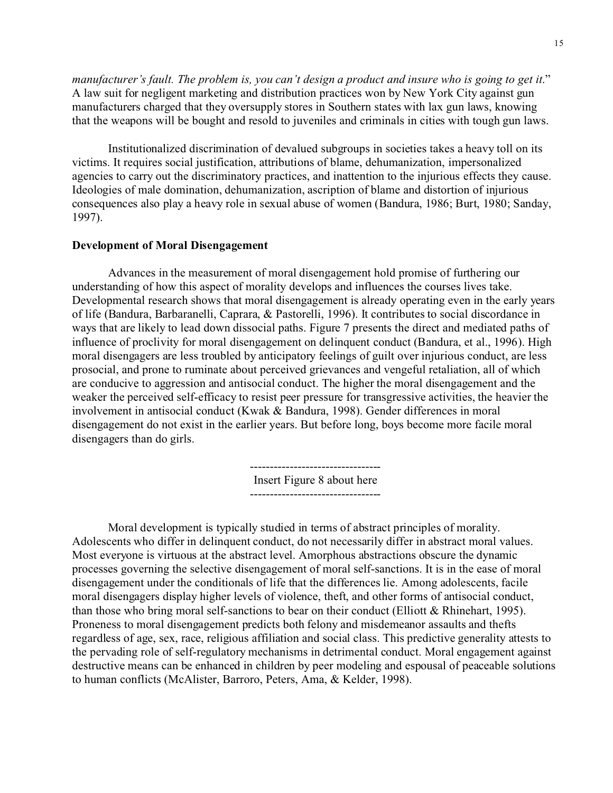*manufacturer's fault. The problem is, you can't design a product and insure who is going to get it*." A law suit for negligent marketing and distribution practices won by New York City against gun manufacturers charged that they oversupply stores in Southern states with lax gun laws, knowing that the weapons will be bought and resold to juveniles and criminals in cities with tough gun laws.

Institutionalized discrimination of devalued subgroups in societies takes a heavy toll on its victims. It requires social justification, attributions of blame, dehumanization, impersonalized agencies to carry out the discriminatory practices, and inattention to the injurious effects they cause. Ideologies of male domination, dehumanization, ascription of blame and distortion of injurious consequences also play a heavy role in sexual abuse of women (Bandura, 1986; Burt, 1980; Sanday, 1997).

### **Development of Moral Disengagement**

Advances in the measurement of moral disengagement hold promise of furthering our understanding of how this aspect of morality develops and influences the courses lives take. Developmental research shows that moral disengagement is already operating even in the early years of life (Bandura, Barbaranelli, Caprara, & Pastorelli, 1996). It contributes to social discordance in ways that are likely to lead down dissocial paths. Figure 7 presents the direct and mediated paths of influence of proclivity for moral disengagement on delinquent conduct (Bandura, et al., 1996). High moral disengagers are less troubled by anticipatory feelings of guilt over injurious conduct, are less prosocial, and prone to ruminate about perceived grievances and vengeful retaliation, all of which are conducive to aggression and antisocial conduct. The higher the moral disengagement and the weaker the perceived self-efficacy to resist peer pressure for transgressive activities, the heavier the involvement in antisocial conduct (Kwak & Bandura, 1998). Gender differences in moral disengagement do not exist in the earlier years. But before long, boys become more facile moral disengagers than do girls.

> Insert Figure 8 about here ---------------------------------

---------------------------------

Moral development is typically studied in terms of abstract principles of morality. Adolescents who differ in delinquent conduct, do not necessarily differ in abstract moral values. Most everyone is virtuous at the abstract level. Amorphous abstractions obscure the dynamic processes governing the selective disengagement of moral self-sanctions. It is in the ease of moral disengagement under the conditionals of life that the differences lie. Among adolescents, facile moral disengagers display higher levels of violence, theft, and other forms of antisocial conduct, than those who bring moral self-sanctions to bear on their conduct (Elliott & Rhinehart, 1995). Proneness to moral disengagement predicts both felony and misdemeanor assaults and thefts regardless of age, sex, race, religious affiliation and social class. This predictive generality attests to the pervading role of self-regulatory mechanisms in detrimental conduct. Moral engagement against destructive means can be enhanced in children by peer modeling and espousal of peaceable solutions to human conflicts (McAlister, Barroro, Peters, Ama, & Kelder, 1998).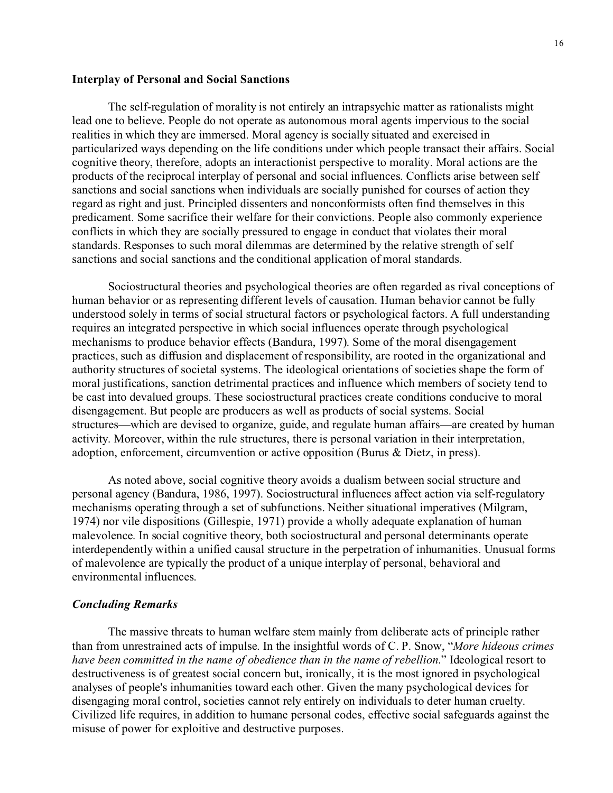### **Interplay of Personal and Social Sanctions**

The self-regulation of morality is not entirely an intrapsychic matter as rationalists might lead one to believe. People do not operate as autonomous moral agents impervious to the social realities in which they are immersed. Moral agency is socially situated and exercised in particularized ways depending on the life conditions under which people transact their affairs. Social cognitive theory, therefore, adopts an interactionist perspective to morality. Moral actions are the products of the reciprocal interplay of personal and social influences. Conflicts arise between self sanctions and social sanctions when individuals are socially punished for courses of action they regard as right and just. Principled dissenters and nonconformists often find themselves in this predicament. Some sacrifice their welfare for their convictions. People also commonly experience conflicts in which they are socially pressured to engage in conduct that violates their moral standards. Responses to such moral dilemmas are determined by the relative strength of self sanctions and social sanctions and the conditional application of moral standards.

Sociostructural theories and psychological theories are often regarded as rival conceptions of human behavior or as representing different levels of causation. Human behavior cannot be fully understood solely in terms of social structural factors or psychological factors. A full understanding requires an integrated perspective in which social influences operate through psychological mechanisms to produce behavior effects (Bandura, 1997). Some of the moral disengagement practices, such as diffusion and displacement of responsibility, are rooted in the organizational and authority structures of societal systems. The ideological orientations of societies shape the form of moral justifications, sanction detrimental practices and influence which members of society tend to be cast into devalued groups. These sociostructural practices create conditions conducive to moral disengagement. But people are producers as well as products of social systems. Social structures—which are devised to organize, guide, and regulate human affairs—are created by human activity. Moreover, within the rule structures, there is personal variation in their interpretation, adoption, enforcement, circumvention or active opposition (Burus & Dietz, in press).

As noted above, social cognitive theory avoids a dualism between social structure and personal agency (Bandura, 1986, 1997). Sociostructural influences affect action via self-regulatory mechanisms operating through a set of subfunctions. Neither situational imperatives (Milgram, 1974) nor vile dispositions (Gillespie, 1971) provide a wholly adequate explanation of human malevolence. In social cognitive theory, both sociostructural and personal determinants operate interdependently within a unified causal structure in the perpetration of inhumanities. Unusual forms of malevolence are typically the product of a unique interplay of personal, behavioral and environmental influences.

#### *Concluding Remarks*

The massive threats to human welfare stem mainly from deliberate acts of principle rather than from unrestrained acts of impulse. In the insightful words of C. P. Snow, "*More hideous crimes have been committed in the name of obedience than in the name of rebellion*." Ideological resort to destructiveness is of greatest social concern but, ironically, it is the most ignored in psychological analyses of people's inhumanities toward each other. Given the many psychological devices for disengaging moral control, societies cannot rely entirely on individuals to deter human cruelty. Civilized life requires, in addition to humane personal codes, effective social safeguards against the misuse of power for exploitive and destructive purposes.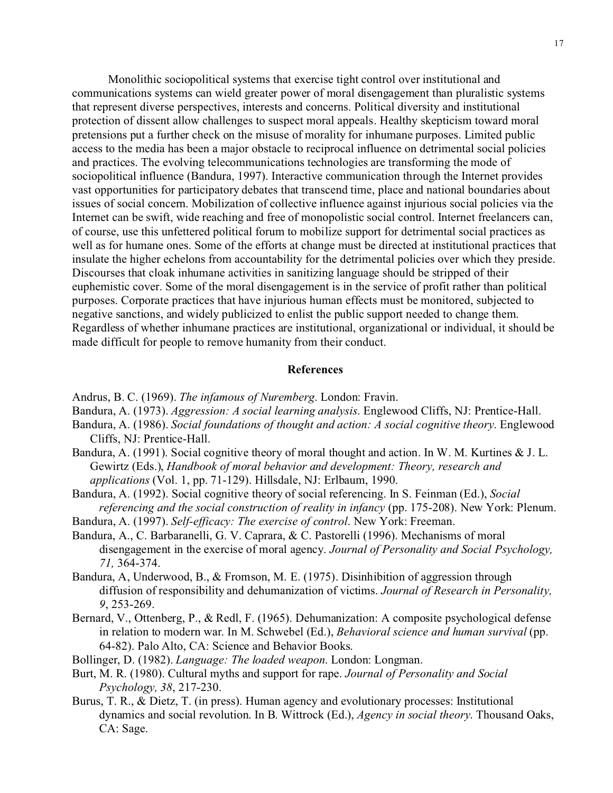Monolithic sociopolitical systems that exercise tight control over institutional and communications systems can wield greater power of moral disengagement than pluralistic systems that represent diverse perspectives, interests and concerns. Political diversity and institutional protection of dissent allow challenges to suspect moral appeals. Healthy skepticism toward moral pretensions put a further check on the misuse of morality for inhumane purposes. Limited public access to the media has been a major obstacle to reciprocal influence on detrimental social policies and practices. The evolving telecommunications technologies are transforming the mode of sociopolitical influence (Bandura, 1997). Interactive communication through the Internet provides vast opportunities for participatory debates that transcend time, place and national boundaries about issues of social concern. Mobilization of collective influence against injurious social policies via the Internet can be swift, wide reaching and free of monopolistic social control. Internet freelancers can, of course, use this unfettered political forum to mobilize support for detrimental social practices as well as for humane ones. Some of the efforts at change must be directed at institutional practices that insulate the higher echelons from accountability for the detrimental policies over which they preside. Discourses that cloak inhumane activities in sanitizing language should be stripped of their euphemistic cover. Some of the moral disengagement is in the service of profit rather than political purposes. Corporate practices that have injurious human effects must be monitored, subjected to negative sanctions, and widely publicized to enlist the public support needed to change them. Regardless of whether inhumane practices are institutional, organizational or individual, it should be made difficult for people to remove humanity from their conduct.

#### **References**

- Andrus, B. C. (1969). *The infamous of Nuremberg*. London: Fravin.
- Bandura, A. (1973). *Aggression: A social learning analysis*. Englewood Cliffs, NJ: Prentice-Hall.
- Bandura, A. (1986). *Social foundations of thought and action: A social cognitive theory*. Englewood Cliffs, NJ: Prentice-Hall.
- Bandura, A. (1991). Social cognitive theory of moral thought and action. In W. M. Kurtines & J. L. Gewirtz (Eds.), *Handbook of moral behavior and development: Theory, research and applications* (Vol. 1, pp. 71-129). Hillsdale, NJ: Erlbaum, 1990.
- Bandura, A. (1992). Social cognitive theory of social referencing. In S. Feinman (Ed.), *Social referencing and the social construction of reality in infancy* (pp. 175-208). New York: Plenum.
- Bandura, A. (1997). *Self-efficacy: The exercise of control*. New York: Freeman.
- Bandura, A., C. Barbaranelli, G. V. Caprara, & C. Pastorelli (1996). Mechanisms of moral disengagement in the exercise of moral agency. *Journal of Personality and Social Psychology, 71,* 364-374.
- Bandura, A, Underwood, B., & Fromson, M. E. (1975). Disinhibition of aggression through diffusion of responsibility and dehumanization of victims. *Journal of Research in Personality, 9*, 253-269.
- Bernard, V., Ottenberg, P., & Redl, F. (1965). Dehumanization: A composite psychological defense in relation to modern war. In M. Schwebel (Ed.), *Behavioral science and human survival* (pp. 64-82). Palo Alto, CA: Science and Behavior Books.
- Bollinger, D. (1982). *Language: The loaded weapon*. London: Longman.
- Burt, M. R. (1980). Cultural myths and support for rape. *Journal of Personality and Social Psychology, 38*, 217-230.
- Burus, T. R., & Dietz, T. (in press). Human agency and evolutionary processes: Institutional dynamics and social revolution. In B. Wittrock (Ed.), *Agency in social theory*. Thousand Oaks, CA: Sage.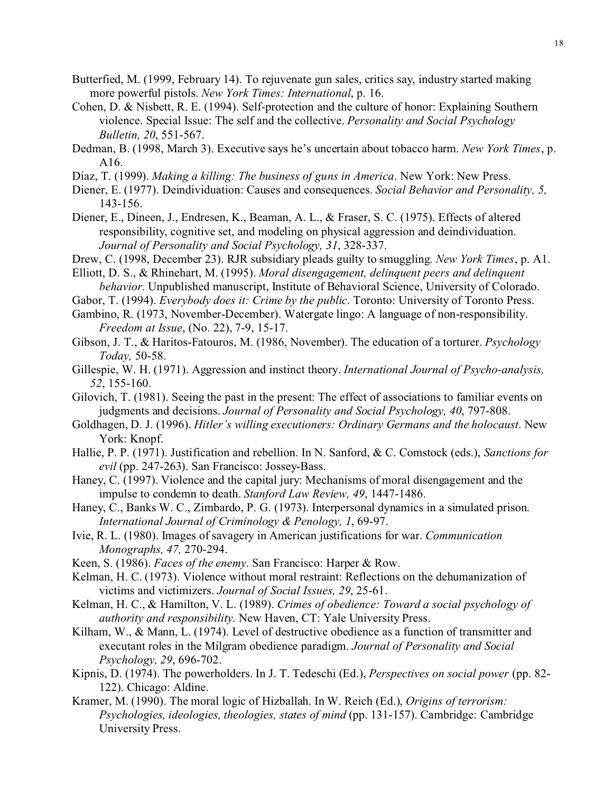- Butterfied, M. (1999, February 14). To rejuvenate gun sales, critics say, industry started making more powerful pistols. *New York Times: International*, p. 16.
- Cohen, D. & Nisbett, R. E. (1994). Self-protection and the culture of honor: Explaining Southern violence. Special Issue: The self and the collective. *Personality and Social Psychology Bulletin, 20*, 551-567.
- Dedman, B. (1998, March 3). Executive says he's uncertain about tobacco harm. *New York Times*, p. A16.
- Diaz, T. (1999). *Making a killing: The business of guns in America*. New York: New Press.
- Diener, E. (1977). Deindividuation: Causes and consequences. *Social Behavior and Personality, 5,* 143-156.
- Diener, E., Dineen, J., Endresen, K., Beaman, A. L., & Fraser, S. C. (1975). Effects of altered responsibility, cognitive set, and modeling on physical aggression and deindividuation. *Journal of Personality and Social Psychology, 31*, 328-337.
- Drew, C. (1998, December 23). RJR subsidiary pleads guilty to smuggling. *New York Times*, p. A1.
- Elliott, D. S., & Rhinehart, M. (1995). *Moral disengagement, delinquent peers and delinquent behavior.* Unpublished manuscript, Institute of Behavioral Science, University of Colorado.
- Gabor, T. (1994). *Everybody does it: Crime by the public*. Toronto: University of Toronto Press.
- Gambino, R. (1973, November-December). Watergate lingo: A language of non-responsibility. *Freedom at Issue*, (No. 22), 7-9, 15-17.
- Gibson, J. T., & Haritos-Fatouros, M. (1986, November). The education of a torturer. *Psychology Today,* 50-58.
- Gillespie, W. H. (1971). Aggression and instinct theory. *International Journal of Psycho-analysis, 52*, 155-160.
- Gilovich, T. (1981). Seeing the past in the present: The effect of associations to familiar events on judgments and decisions. *Journal of Personality and Social Psychology, 40*, 797-808.
- Goldhagen, D. J. (1996). *Hitler's willing executioners: Ordinary Germans and the holocaust*. New York: Knopf.
- Hallie, P. P. (1971). Justification and rebellion. In N. Sanford, & C. Comstock (eds.), *Sanctions for evil* (pp. 247-263). San Francisco: Jossey-Bass.
- Haney, C. (1997). Violence and the capital jury: Mechanisms of moral disengagement and the impulse to condemn to death. *Stanford Law Review, 49*, 1447-1486.
- Haney, C., Banks W. C., Zimbardo, P. G. (1973). Interpersonal dynamics in a simulated prison. *International Journal of Criminology & Penology, 1*, 69-97.
- Ivie, R. L. (1980). Images of savagery in American justifications for war. *Communication Monographs, 47,* 270-294.
- Keen, S. (1986). *Faces of the enemy*. San Francisco: Harper & Row.
- Kelman, H. C. (1973). Violence without moral restraint: Reflections on the dehumanization of victims and victimizers. *Journal of Social Issues, 29*, 25-61.
- Kelman, H. C., & Hamilton, V. L. (1989). *Crimes of obedience: Toward a social psychology of authority and responsibility*. New Haven, CT: Yale University Press.
- Kilham, W., & Mann, L. (1974). Level of destructive obedience as a function of transmitter and executant roles in the Milgram obedience paradigm. *Journal of Personality and Social Psychology, 29*, 696-702.
- Kipnis, D. (1974). The powerholders. In J. T. Tedeschi (Ed.), *Perspectives on social power* (pp. 82- 122). Chicago: Aldine.
- Kramer, M. (1990). The moral logic of Hizballah. In W. Reich (Ed.), *Origins of terrorism: Psychologies, ideologies, theologies, states of mind* (pp. 131-157). Cambridge: Cambridge University Press.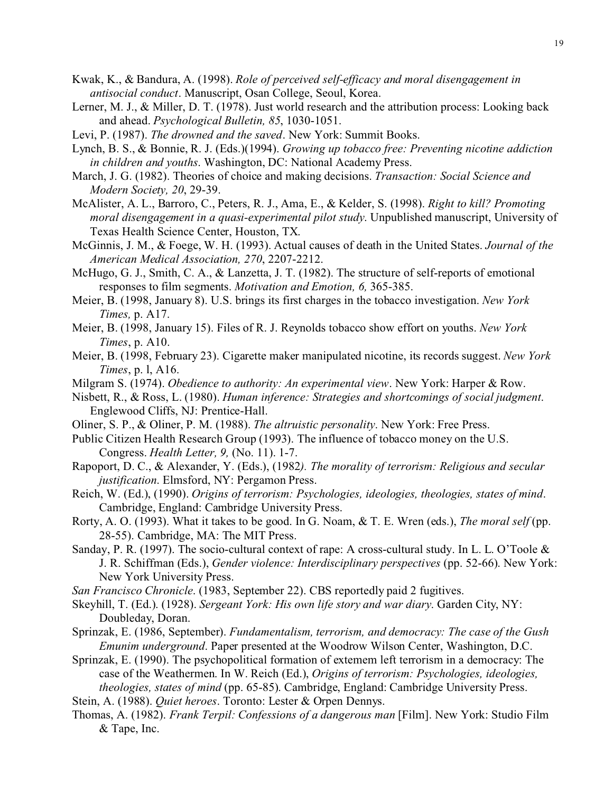- Kwak, K., & Bandura, A. (1998). *Role of perceived self-efficacy and moral disengagement in antisocial conduct*. Manuscript, Osan College, Seoul, Korea.
- Lerner, M. J., & Miller, D. T. (1978). Just world research and the attribution process: Looking back and ahead. *Psychological Bulletin, 85*, 1030-1051.
- Levi, P. (1987). *The drowned and the saved*. New York: Summit Books.
- Lynch, B. S., & Bonnie, R. J. (Eds.)(1994). *Growing up tobacco free: Preventing nicotine addiction in children and youths*. Washington, DC: National Academy Press.
- March, J. G. (1982). Theories of choice and making decisions. *Transaction: Social Science and Modern Society, 20*, 29-39.
- McAlister, A. L., Barroro, C., Peters, R. J., Ama, E., & Kelder, S. (1998). *Right to kill? Promoting moral disengagement in a quasi-experimental pilot study*. Unpublished manuscript, University of Texas Health Science Center, Houston, TX.
- McGinnis, J. M., & Foege, W. H. (1993). Actual causes of death in the United States. *Journal of the American Medical Association, 270*, 2207-2212.
- McHugo, G. J., Smith, C. A., & Lanzetta, J. T. (1982). The structure of self-reports of emotional responses to film segments. *Motivation and Emotion, 6,* 365-385.
- Meier, B. (1998, January 8). U.S. brings its first charges in the tobacco investigation. *New York Times,* p. A17.
- Meier, B. (1998, January 15). Files of R. J. Reynolds tobacco show effort on youths. *New York Times*, p. A10.
- Meier, B. (1998, February 23). Cigarette maker manipulated nicotine, its records suggest. *New York Times*, p. l, A16.
- Milgram S. (1974). *Obedience to authority: An experimental view*. New York: Harper & Row.
- Nisbett, R., & Ross, L. (1980). *Human inference: Strategies and shortcomings of social judgment*. Englewood Cliffs, NJ: Prentice-Hall.
- Oliner, S. P., & Oliner, P. M. (1988). *The altruistic personality*. New York: Free Press.
- Public Citizen Health Research Group (1993). The influence of tobacco money on the U.S. Congress. *Health Letter, 9,* (No. 11). 1-7.
- Rapoport, D. C., & Alexander, Y. (Eds.), (1982*). The morality of terrorism: Religious and secular justification*. Elmsford, NY: Pergamon Press.
- Reich, W. (Ed.), (1990). *Origins of terrorism: Psychologies, ideologies, theologies, states of mind*. Cambridge, England: Cambridge University Press.
- Rorty, A. O. (1993). What it takes to be good. In G. Noam, & T. E. Wren (eds.), *The moral self* (pp. 28-55). Cambridge, MA: The MIT Press.
- Sanday, P. R. (1997). The socio-cultural context of rape: A cross-cultural study. In L. L. O'Toole & J. R. Schiffman (Eds.), *Gender violence: Interdisciplinary perspectives* (pp. 52-66). New York: New York University Press.
- *San Francisco Chronicle*. (1983, September 22). CBS reportedly paid 2 fugitives.
- Skeyhill, T. (Ed.). (1928). *Sergeant York: His own life story and war diary*. Garden City, NY: Doubleday, Doran.
- Sprinzak, E. (1986, September). *Fundamentalism, terrorism, and democracy: The case of the Gush Emunim underground*. Paper presented at the Woodrow Wilson Center, Washington, D.C.
- Sprinzak, E. (1990). The psychopolitical formation of extemem left terrorism in a democracy: The case of the Weathermen. In W. Reich (Ed.), *Origins of terrorism: Psychologies, ideologies, theologies, states of mind* (pp. 65-85). Cambridge, England: Cambridge University Press.
- Stein, A. (1988). *Quiet heroes*. Toronto: Lester & Orpen Dennys.
- Thomas, A. (1982). *Frank Terpil: Confessions of a dangerous man* [Film]. New York: Studio Film & Tape, Inc.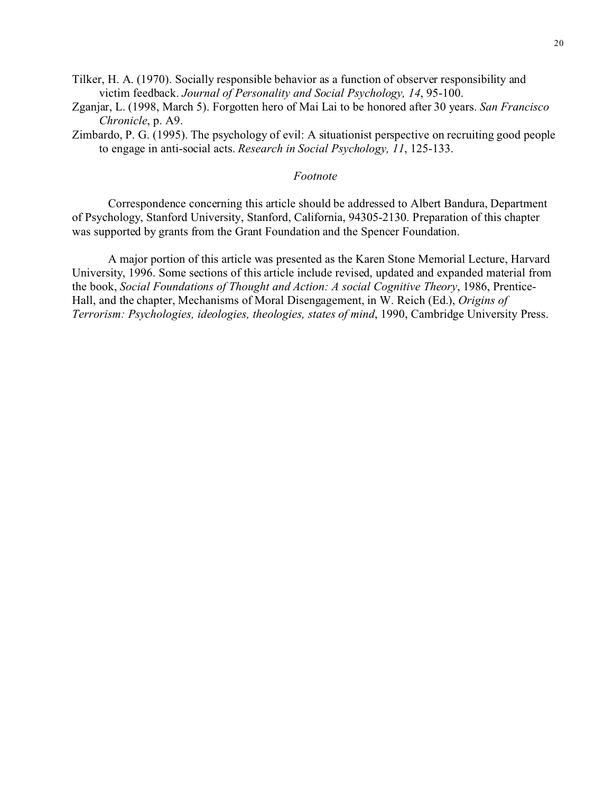- Tilker, H. A. (1970). Socially responsible behavior as a function of observer responsibility and victim feedback. *Journal of Personality and Social Psychology, 14*, 95-100.
- Zganjar, L. (1998, March 5). Forgotten hero of Mai Lai to be honored after 30 years. *San Francisco Chronicle*, p. A9.
- Zimbardo, P. G. (1995). The psychology of evil: A situationist perspective on recruiting good people to engage in anti-social acts. *Research in Social Psychology, 11*, 125-133.

## *Footnote*

Correspondence concerning this article should be addressed to Albert Bandura, Department of Psychology, Stanford University, Stanford, California, 94305-2130. Preparation of this chapter was supported by grants from the Grant Foundation and the Spencer Foundation.

A major portion of this article was presented as the Karen Stone Memorial Lecture, Harvard University, 1996. Some sections of this article include revised, updated and expanded material from the book, *Social Foundations of Thought and Action: A social Cognitive Theory*, 1986, Prentice-Hall, and the chapter, Mechanisms of Moral Disengagement, in W. Reich (Ed.), *Origins of Terrorism: Psychologies, ideologies, theologies, states of mind*, 1990, Cambridge University Press.